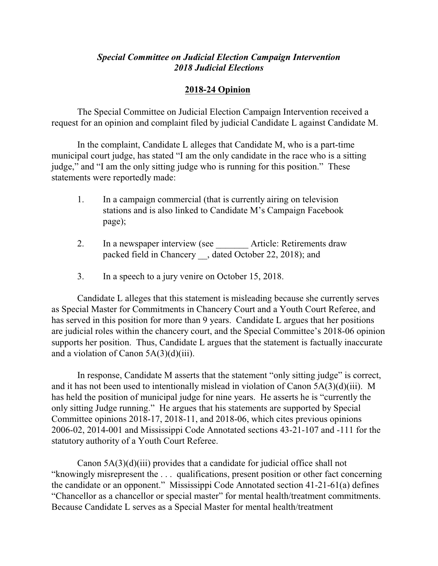## *Special Committee on Judicial Election Campaign Intervention 2018 Judicial Elections*

## **2018-24 Opinion**

The Special Committee on Judicial Election Campaign Intervention received a request for an opinion and complaint filed by judicial Candidate L against Candidate M.

In the complaint, Candidate L alleges that Candidate M, who is a part-time municipal court judge, has stated "I am the only candidate in the race who is a sitting judge," and "I am the only sitting judge who is running for this position." These statements were reportedly made:

- 1. In a campaign commercial (that is currently airing on television stations and is also linked to Candidate M's Campaign Facebook page);
- 2. In a newspaper interview (see Article: Retirements draw packed field in Chancery \_, dated October 22, 2018); and
- 3. In a speech to a jury venire on October 15, 2018.

Candidate L alleges that this statement is misleading because she currently serves as Special Master for Commitments in Chancery Court and a Youth Court Referee, and has served in this position for more than 9 years. Candidate L argues that her positions are judicial roles within the chancery court, and the Special Committee's 2018-06 opinion supports her position. Thus, Candidate L argues that the statement is factually inaccurate and a violation of Canon  $5A(3)(d)(iii)$ .

In response, Candidate M asserts that the statement "only sitting judge" is correct, and it has not been used to intentionally mislead in violation of Canon 5A(3)(d)(iii). M has held the position of municipal judge for nine years. He asserts he is "currently the only sitting Judge running." He argues that his statements are supported by Special Committee opinions 2018-17, 2018-11, and 2018-06, which cites previous opinions 2006-02, 2014-001 and Mississippi Code Annotated sections 43-21-107 and -111 for the statutory authority of a Youth Court Referee.

Canon 5A(3)(d)(iii) provides that a candidate for judicial office shall not "knowingly misrepresent the . . . qualifications, present position or other fact concerning the candidate or an opponent." Mississippi Code Annotated section 41-21-61(a) defines "Chancellor as a chancellor or special master" for mental health/treatment commitments. Because Candidate L serves as a Special Master for mental health/treatment